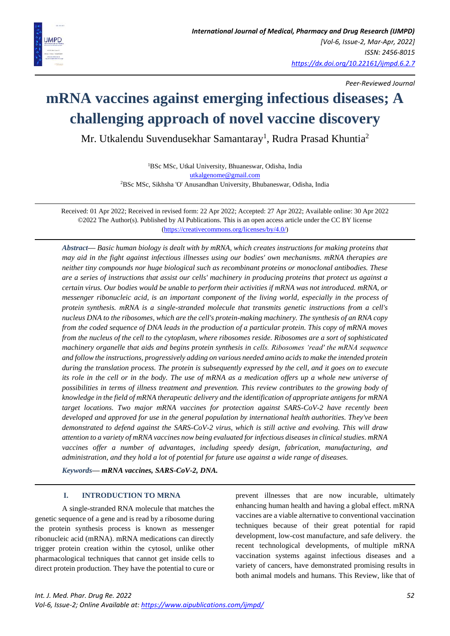

*Peer-Reviewed Journal*

# **mRNA vaccines against emerging infectious diseases; A challenging approach of novel vaccine discovery**

Mr. Utkalendu Suvendusekhar Samantaray<sup>1</sup>, Rudra Prasad Khuntia<sup>2</sup>

<sup>1</sup>BSc MSc, Utkal University, Bhuaneswar, Odisha, India [utkalgenome@gmail.com](mailto:utkalgenome@gmail.com) <sup>2</sup>BSc MSc, Sikhsha 'O' Anusandhan University, Bhubaneswar, Odisha, India

Received: 01 Apr 2022; Received in revised form: 22 Apr 2022; Accepted: 27 Apr 2022; Available online: 30 Apr 2022 ©2022 The Author(s). Published by AI Publications. This is an open access article under the CC BY license [\(https://creativecommons.org/licenses/by/4.0/\)](https://creativecommons.org/licenses/by/4.0/)

*Abstract— Basic human biology is dealt with by mRNA, which creates instructions for making proteins that may aid in the fight against infectious illnesses using our bodies' own mechanisms. mRNA therapies are neither tiny compounds nor huge biological such as recombinant proteins or monoclonal antibodies. These are a series of instructions that assist our cells' machinery in producing proteins that protect us against a certain virus. Our bodies would be unable to perform their activities if mRNA was not introduced. mRNA, or messenger ribonucleic acid, is an important component of the living world, especially in the process of protein synthesis. mRNA is a single-stranded molecule that transmits genetic instructions from a cell's nucleus DNA to the ribosomes, which are the cell's protein-making machinery. The synthesis of an RNA copy from the coded sequence of DNA leads in the production of a particular protein. This copy of mRNA moves from the nucleus of the cell to the cytoplasm, where ribosomes reside. Ribosomes are a sort of sophisticated machinery organelle that aids and begins protein synthesis in cells. Ribosomes 'read' the mRNA sequence and follow the instructions, progressively adding on various needed amino acids to make the intended protein during the translation process. The protein is subsequently expressed by the cell, and it goes on to execute its role in the cell or in the body. The use of mRNA as a medication offers up a whole new universe of possibilities in terms of illness treatment and prevention. This review contributes to the growing body of knowledge in the field of mRNA therapeutic delivery and the identification of appropriate antigens for mRNA target locations. Two major mRNA vaccines for protection against SARS-CoV-2 have recently been developed and approved for use in the general population by international health authorities. They've been demonstrated to defend against the SARS-CoV-2 virus, which is still active and evolving. This will draw attention to a variety of mRNA vaccines now being evaluated for infectious diseases in clinical studies. mRNA vaccines offer a number of advantages, including speedy design, fabrication, manufacturing, and administration, and they hold a lot of potential for future use against a wide range of diseases.*

*Keywords— mRNA vaccines, SARS-CoV-2, DNA.*

# **I. INTRODUCTION TO MRNA**

A single-stranded RNA molecule that matches the genetic sequence of a gene and is read by a ribosome during the protein synthesis process is known as messenger ribonucleic acid (mRNA). mRNA medications can directly trigger protein creation within the cytosol, unlike other pharmacological techniques that cannot get inside cells to direct protein production. They have the potential to cure or prevent illnesses that are now incurable, ultimately enhancing human health and having a global effect. mRNA vaccines are a viable alternative to conventional vaccination techniques because of their great potential for rapid development, low-cost manufacture, and safe delivery. the recent technological developments, of multiple mRNA vaccination systems against infectious diseases and a variety of cancers, have demonstrated promising results in both animal models and humans. This Review, like that of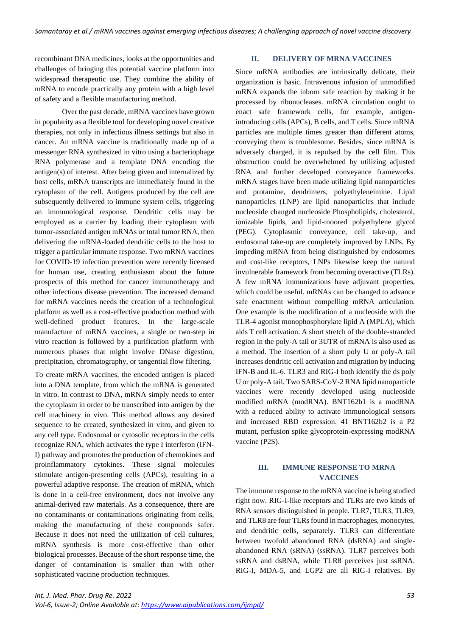recombinant DNA medicines, looks at the opportunities and challenges of bringing this potential vaccine platform into widespread therapeutic use. They combine the ability of mRNA to encode practically any protein with a high level of safety and a flexible manufacturing method.

Over the past decade, mRNA vaccines have grown in popularity as a flexible tool for developing novel creative therapies, not only in infectious illness settings but also in cancer. An mRNA vaccine is traditionally made up of a messenger RNA synthesized in vitro using a bacteriophage RNA polymerase and a template DNA encoding the antigen(s) of interest. After being given and internalized by host cells, mRNA transcripts are immediately found in the cytoplasm of the cell. Antigens produced by the cell are subsequently delivered to immune system cells, triggering an immunological response. Dendritic cells may be employed as a carrier by loading their cytoplasm with tumor-associated antigen mRNAs or total tumor RNA, then delivering the mRNA-loaded dendritic cells to the host to trigger a particular immune response. Two mRNA vaccines for COVID-19 infection prevention were recently licensed for human use, creating enthusiasm about the future prospects of this method for cancer immunotherapy and other infectious disease prevention. The increased demand for mRNA vaccines needs the creation of a technological platform as well as a cost-effective production method with well-defined product features. In the large-scale manufacture of mRNA vaccines, a single or two-step in vitro reaction is followed by a purification platform with numerous phases that might involve DNase digestion, precipitation, chromatography, or tangential flow filtering.

To create mRNA vaccines, the encoded antigen is placed into a DNA template, from which the mRNA is generated in vitro. In contrast to DNA, mRNA simply needs to enter the cytoplasm in order to be transcribed into antigen by the cell machinery in vivo. This method allows any desired sequence to be created, synthesized in vitro, and given to any cell type. Endosomal or cytosolic receptors in the cells recognize RNA, which activates the type I interferon (IFN-I) pathway and promotes the production of chemokines and proinflammatory cytokines. These signal molecules stimulate antigen-presenting cells (APCs), resulting in a powerful adaptive response. The creation of mRNA, which is done in a cell-free environment, does not involve any animal-derived raw materials. As a consequence, there are no contaminants or contaminations originating from cells, making the manufacturing of these compounds safer. Because it does not need the utilization of cell cultures, mRNA synthesis is more cost-effective than other biological processes. Because of the short response time, the danger of contamination is smaller than with other sophisticated vaccine production techniques.

#### **II. DELIVERY OF MRNA VACCINES**

Since mRNA antibodies are intrinsically delicate, their organization is basic. Intravenous infusion of unmodified mRNA expands the inborn safe reaction by making it be processed by ribonucleases. mRNA circulation ought to enact safe framework cells, for example, antigenintroducing cells (APCs), B cells, and T cells. Since mRNA particles are multiple times greater than different atoms, conveying them is troublesome. Besides, since mRNA is adversely charged, it is repulsed by the cell film. This obstruction could be overwhelmed by utilizing adjusted RNA and further developed conveyance frameworks. mRNA stages have been made utilizing lipid nanoparticles and protamine, dendrimers, polyethyleneimine. Lipid nanoparticles (LNP) are lipid nanoparticles that include nucleoside changed nucleoside Phospholipids, cholesterol, ionizable lipids, and lipid-moored polyethylene glycol (PEG). Cytoplasmic conveyance, cell take-up, and endosomal take-up are completely improved by LNPs. By impeding mRNA from being distinguished by endosomes and cost-like receptors, LNPs likewise keep the natural invulnerable framework from becoming overactive (TLRs). A few mRNA immunizations have adjuvant properties, which could be useful. mRNAs can be changed to advance safe enactment without compelling mRNA articulation. One example is the modification of a nucleoside with the TLR-4 agonist monophosphorylate lipid A (MPLA), which aids T cell activation. A short stretch of the double-stranded region in the poly-A tail or 3UTR of mRNA is also used as a method. The insertion of a short poly U or poly-A tail increases dendritic cell activation and migration by inducing IFN-B and IL-6. TLR3 and RIG-I both identify the ds poly U or poly-A tail. Two SARS-CoV-2 RNA lipid nanoparticle vaccines were recently developed using nucleoside modified mRNA (modRNA). BNT162b1 is a modRNA with a reduced ability to activate immunological sensors and increased RBD expression. 41 BNT162b2 is a P2 mutant, perfusion spike glycoprotein-expressing modRNA vaccine (P2S).

# **III. IMMUNE RESPONSE TO MRNA VACCINES**

The immune response to the mRNA vaccine is being studied right now. RIG-I-like receptors and TLRs are two kinds of RNA sensors distinguished in people. TLR7, TLR3, TLR9, and TLR8 are four TLRs found in macrophages, monocytes, and dendritic cells, separately. TLR3 can differentiate between twofold abandoned RNA (dsRNA) and singleabandoned RNA (sRNA) (ssRNA). TLR7 perceives both ssRNA and dsRNA, while TLR8 perceives just ssRNA. RIG-I, MDA-5, and LGP2 are all RIG-I relatives. By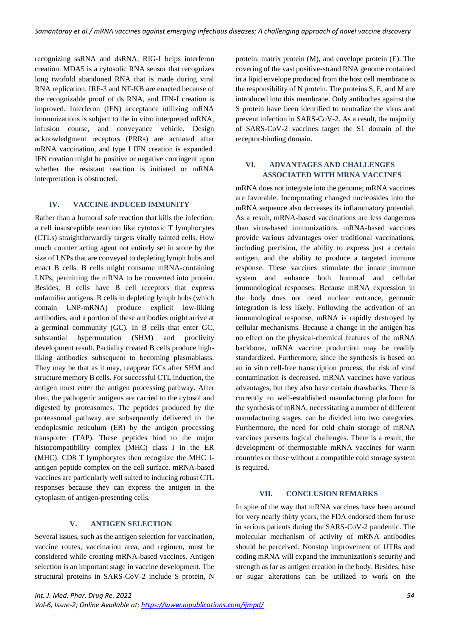recognizing ssRNA and dsRNA, RIG-I helps interferon creation. MDA5 is a cytosolic RNA sensor that recognizes long twofold abandoned RNA that is made during viral RNA replication. IRF-3 and NF-KB are enacted because of the recognizable proof of ds RNA, and IFN-I creation is improved. Interferon (IFN) acceptance utilizing mRNA immunizations is subject to the in vitro interpreted mRNA, infusion course, and conveyance vehicle. Design acknowledgment receptors (PRRs) are actuated after mRNA vaccination, and type I IFN creation is expanded. IFN creation might be positive or negative contingent upon whether the resistant reaction is initiated or mRNA interpretation is obstructed.

# **IV. VACCINE-INDUCED IMMUNITY**

Rather than a humoral safe reaction that kills the infection, a cell insusceptible reaction like cytotoxic T lymphocytes (CTLs) straightforwardly targets virally tainted cells. How much counter acting agent not entirely set in stone by the size of LNPs that are conveyed to depleting lymph hubs and enact B cells. B cells might consume mRNA-containing LNPs, permitting the mRNA to be converted into protein. Besides, B cells have B cell receptors that express unfamiliar antigens. B cells in depleting lymph hubs (which contain LNP-mRNA) produce explicit low-liking antibodies, and a portion of these antibodies might arrive at a germinal community (GC). In B cells that enter GC, substantial hypermutation (SHM) and proclivity development result. Partiality created B cells produce highliking antibodies subsequent to becoming plasmablasts. They may be that as it may, reappear GCs after SHM and structure memory B cells. For successful CTL induction, the antigen must enter the antigen processing pathway. After then, the pathogenic antigens are carried to the cytosol and digested by proteasomes. The peptides produced by the proteasomal pathway are subsequently delivered to the endoplasmic reticulum (ER) by the antigen processing transporter (TAP). These peptides bind to the major histocompatibility complex (MHC) class I in the ER (MHC). CD8 T lymphocytes then recognize the MHC Iantigen peptide complex on the cell surface. mRNA-based vaccines are particularly well suited to inducing robust CTL responses because they can express the antigen in the cytoplasm of antigen-presenting cells.

### **V. ANTIGEN SELECTION**

Several issues, such as the antigen selection for vaccination, vaccine routes, vaccination area, and regimen, must be considered while creating mRNA-based vaccines. Antigen selection is an important stage in vaccine development. The structural proteins in SARS-CoV-2 include S protein, N

protein, matrix protein (M), and envelope protein (E). The covering of the vast positive-strand RNA genome contained in a lipid envelope produced from the host cell membrane is the responsibility of N protein. The proteins S, E, and M are introduced into this membrane. Only antibodies against the S protein have been identified to neutralize the virus and prevent infection in SARS-CoV-2. As a result, the majority of SARS-CoV-2 vaccines target the S1 domain of the receptor-binding domain.

# **VI. ADVANTAGES AND CHALLENGES ASSOCIATED WITH MRNA VACCINES**

mRNA does not integrate into the genome; mRNA vaccines are favorable. Incorporating changed nucleosides into the mRNA sequence also decreases its inflammatory potential. As a result, mRNA-based vaccinations are less dangerous than virus-based immunizations. mRNA-based vaccines provide various advantages over traditional vaccinations, including precision, the ability to express just a certain antigen, and the ability to produce a targeted immune response. These vaccines stimulate the innate immune system and enhance both humoral and cellular immunological responses. Because mRNA expression in the body does not need nuclear entrance, genomic integration is less likely. Following the activation of an immunological response, mRNA is rapidly destroyed by cellular mechanisms. Because a change in the antigen has no effect on the physical-chemical features of the mRNA backbone, mRNA vaccine production may be readily standardized. Furthermore, since the synthesis is based on an in vitro cell-free transcription process, the risk of viral contamination is decreased. mRNA vaccines have various advantages, but they also have certain drawbacks. There is currently no well-established manufacturing platform for the synthesis of mRNA, necessitating a number of different manufacturing stages. can be divided into two categories. Furthermore, the need for cold chain storage of mRNA vaccines presents logical challenges. There is a result, the development of thermostable mRNA vaccines for warm countries or those without a compatible cold storage system is required.

# **VII. CONCLUSION REMARKS**

In spite of the way that mRNA vaccines have been around for very nearly thirty years, the FDA endorsed them for use in serious patients during the SARS-CoV-2 pandemic. The molecular mechanism of activity of mRNA antibodies should be perceived. Nonstop improvement of UTRs and coding mRNA will expand the immunization's security and strength as far as antigen creation in the body. Besides, base or sugar alterations can be utilized to work on the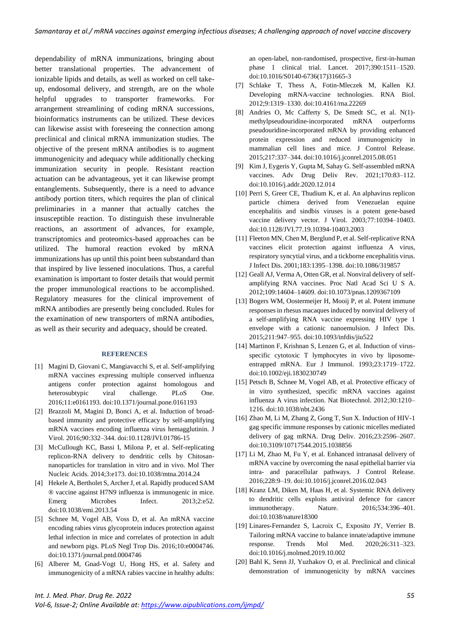dependability of mRNA immunizations, bringing about better translational properties. The advancement of ionizable lipids and details, as well as worked on cell takeup, endosomal delivery, and strength, are on the whole helpful upgrades to transporter frameworks. For arrangement streamlining of coding mRNA successions, bioinformatics instruments can be utilized. These devices can likewise assist with foreseeing the connection among preclinical and clinical mRNA immunization studies. The objective of the present mRNA antibodies is to augment immunogenicity and adequacy while additionally checking immunization security in people. Resistant reaction actuation can be advantageous, yet it can likewise prompt entanglements. Subsequently, there is a need to advance antibody portion titers, which requires the plan of clinical preliminaries in a manner that actually catches the insusceptible reaction. To distinguish these invulnerable reactions, an assortment of advances, for example, transcriptomics and proteomics-based approaches can be utilized. The humoral reaction evoked by mRNA immunizations has up until this point been substandard than that inspired by live lessened inoculations. Thus, a careful examination is important to foster details that would permit the proper immunological reactions to be accomplished. Regulatory measures for the clinical improvement of mRNA antibodies are presently being concluded. Rules for the examination of new transporters of mRNA antibodies, as well as their security and adequacy, should be created.

## **REFERENCES**

- [1] Magini D, Giovani C, Mangiavacchi S, et al. Self-amplifying mRNA vaccines expressing multiple conserved influenza antigens confer protection against homologous and heterosubtypic viral challenge. PLoS One. 2016;11:e0161193. doi:10.1371/journal.pone.0161193
- [2] Brazzoli M, Magini D, Bonci A, et al. Induction of broadbased immunity and protective efficacy by self-amplifying mRNA vaccines encoding influenza virus hemagglutinin. J Virol. 2016;90:332–344. doi:10.1128/JVI.01786-15
- [3] McCullough KC, Bassi I, Milona P, et al. Self-replicating replicon-RNA delivery to dendritic cells by Chitosannanoparticles for translation in vitro and in vivo. Mol Ther Nucleic Acids. 2014;3:e173. doi:10.1038/mtna.2014.24
- [4] Hekele A, Bertholet S, Archer J, et al. Rapidly produced SAM ® vaccine against H7N9 influenza is immunogenic in mice. Emerg Microbes Infect. 2013;2:e52. doi:10.1038/emi.2013.54
- [5] Schnee M, Vogel AB, Voss D, et al. An mRNA vaccine encoding rabies virus glycoprotein induces protection against lethal infection in mice and correlates of protection in adult and newborn pigs. PLoS Negl Trop Dis. 2016;10:e0004746. doi:10.1371/journal.pntd.0004746
- [6] Alberer M, Gnad-Vogt U, Hong HS, et al. Safety and immunogenicity of a mRNA rabies vaccine in healthy adults:

an open-label, non-randomised, prospective, first-in-human phase 1 clinical trial. Lancet. 2017;390:1511–1520. doi:10.1016/S0140-6736(17)31665-3

- [7] Schlake T, Thess A, Fotin-Mleczek M, Kallen KJ. Developing mRNA-vaccine technologies. RNA Biol. 2012;9:1319–1330. doi:10.4161/rna.22269
- [8] Andries O, Mc Cafferty S, De Smedt SC, et al. N(1)methylpseudouridine-incorporated mRNA outperforms pseudouridine-incorporated mRNA by providing enhanced protein expression and reduced immunogenicity in mammalian cell lines and mice. J Control Release. 2015;217:337–344. doi:10.1016/j.jconrel.2015.08.051
- [9] Kim J, Eygeris Y, Gupta M, Sahay G. Self-assembled mRNA vaccines. Adv Drug Deliv Rev. 2021;170:83–112. doi:10.1016/j.addr.2020.12.014
- [10] Perri S, Greer CE, Thudium K, et al. An alphavirus replicon particle chimera derived from Venezuelan equine encephalitis and sindbis viruses is a potent gene-based vaccine delivery vector. J Virol. 2003;77:10394–10403. doi:10.1128/JVI.77.19.10394-10403.2003
- [11] Fleeton MN, Chen M, Berglund P, et al. Self-replicative RNA vaccines elicit protection against influenza A virus, respiratory syncytial virus, and a tickborne encephalitis virus. J Infect Dis. 2001;183:1395–1398. doi:10.1086/319857
- [12] Geall AJ, Verma A, Otten GR, et al. Nonviral delivery of selfamplifying RNA vaccines. Proc Natl Acad Sci U S A. 2012;109:14604–14609. doi:10.1073/pnas.1209367109
- [13] Bogers WM, Oostermeijer H, Mooij P, et al. Potent immune responses in rhesus macaques induced by nonviral delivery of a self-amplifying RNA vaccine expressing HIV type 1 envelope with a cationic nanoemulsion. J Infect Dis. 2015;211:947–955. doi:10.1093/infdis/jiu522
- [14] Martinon F, Krishnan S, Lenzen G, et al. Induction of virusspecific cytotoxic T lymphocytes in vivo by liposomeentrapped mRNA. Eur J Immunol. 1993;23:1719–1722. doi:10.1002/eji.1830230749
- [15] Petsch B, Schnee M, Vogel AB, et al. Protective efficacy of in vitro synthesized, specific mRNA vaccines against influenza A virus infection. Nat Biotechnol. 2012;30:1210– 1216. doi:10.1038/nbt.2436
- [16] Zhao M, Li M, Zhang Z, Gong T, Sun X. Induction of HIV-1 gag specific immune responses by cationic micelles mediated delivery of gag mRNA. Drug Deliv. 2016;23:2596–2607. doi:10.3109/10717544.2015.1038856
- [17] Li M, Zhao M, Fu Y, et al. Enhanced intranasal delivery of mRNA vaccine by overcoming the nasal epithelial barrier via intra- and paracellular pathways. J Control Release. 2016;228:9–19. doi:10.1016/j.jconrel.2016.02.043
- [18] Kranz LM, Diken M, Haas H, et al. Systemic RNA delivery to dendritic cells exploits antiviral defence for cancer immunotherapy. Nature. 2016;534:396–401. doi:10.1038/nature18300
- [19] Linares-Fernandez S, Lacroix C, Exposito JY, Verrier B. Tailoring mRNA vaccine to balance innate/adaptive immune response. Trends Mol Med. 2020;26:311–323. doi:10.1016/j.molmed.2019.10.002
- [20] Bahl K, Senn JJ, Yuzhakov O, et al. Preclinical and clinical demonstration of immunogenicity by mRNA vaccines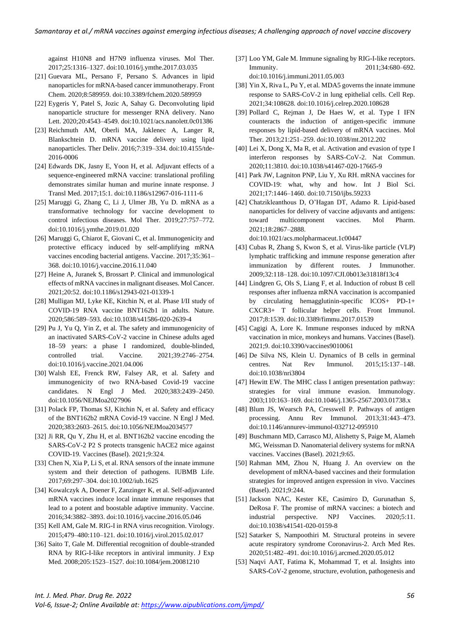against H10N8 and H7N9 influenza viruses. Mol Ther. 2017;25:1316–1327. doi:10.1016/j.ymthe.2017.03.035

- [21] Guevara ML, Persano F, Persano S. Advances in lipid nanoparticles for mRNA-based cancer immunotherapy. Front Chem. 2020;8:589959. doi:10.3389/fchem.2020.589959
- [22] Eygeris Y, Patel S, Jozic A, Sahay G. Deconvoluting lipid nanoparticle structure for messenger RNA delivery. Nano Lett. 2020;20:4543–4549. doi:10.1021/acs.nanolett.0c01386
- [23] Reichmuth AM, Oberli MA, Jaklenec A, Langer R, Blankschtein D. mRNA vaccine delivery using lipid nanoparticles. Ther Deliv. 2016;7:319–334. doi:10.4155/tde-2016-0006
- [24] Edwards DK, Jasny E, Yoon H, et al. Adjuvant effects of a sequence-engineered mRNA vaccine: translational profiling demonstrates similar human and murine innate response. J Transl Med. 2017;15:1. doi:10.1186/s12967-016-1111-6
- [25] Maruggi G, Zhang C, Li J, Ulmer JB, Yu D. mRNA as a transformative technology for vaccine development to control infectious diseases. Mol Ther. 2019;27:757–772. doi:10.1016/j.ymthe.2019.01.020
- [26] Maruggi G, Chiarot E, Giovani C, et al. Immunogenicity and protective efficacy induced by self-amplifying mRNA vaccines encoding bacterial antigens. Vaccine. 2017;35:361– 368. doi:10.1016/j.vaccine.2016.11.040
- [27] Heine A, Juranek S, Brossart P. Clinical and immunological effects of mRNA vaccines in malignant diseases. Mol Cancer. 2021;20:52. doi:10.1186/s12943-021-01339-1
- [28] Mulligan MJ, Lyke KE, Kitchin N, et al. Phase I/II study of COVID-19 RNA vaccine BNT162b1 in adults. Nature. 2020;586:589–593. doi:10.1038/s41586-020-2639-4
- [29] Pu J, Yu Q, Yin Z, et al. The safety and immunogenicity of an inactivated SARS-CoV-2 vaccine in Chinese adults aged 18–59 years: a phase I randomized, double-blinded, controlled trial. Vaccine. 2021;39:2746–2754. doi:10.1016/j.vaccine.2021.04.006
- [30] Walsh EE, Frenck RW, Falsey AR, et al. Safety and immunogenicity of two RNA-based Covid-19 vaccine candidates. N Engl J Med. 2020;383:2439–2450. doi:10.1056/NEJMoa2027906
- [31] Polack FP, Thomas SJ, Kitchin N, et al. Safety and efficacy of the BNT162b2 mRNA Covid-19 vaccine. N Engl J Med. 2020;383:2603–2615. doi:10.1056/NEJMoa2034577
- [32] Ji RR, Qu Y, Zhu H, et al. BNT162b2 vaccine encoding the SARS-CoV-2 P2 S protects transgenic hACE2 mice against COVID-19. Vaccines (Basel). 2021;9:324.
- [33] Chen N, Xia P, Li S, et al. RNA sensors of the innate immune system and their detection of pathogens. IUBMB Life. 2017;69:297–304. doi:10.1002/iub.1625
- [34] Kowalczyk A, Doener F, Zanzinger K, et al. Self-adjuvanted mRNA vaccines induce local innate immune responses that lead to a potent and boostable adaptive immunity. Vaccine. 2016;34:3882–3893. doi:10.1016/j.vaccine.2016.05.046
- [35] Kell AM, Gale M. RIG-I in RNA virus recognition. Virology. 2015;479–480:110–121. doi:10.1016/j.virol.2015.02.017
- [36] Saito T, Gale M. Differential recognition of double-stranded RNA by RIG-I-like receptors in antiviral immunity. J Exp Med. 2008;205:1523–1527. doi:10.1084/jem.20081210
- [37] Loo YM, Gale M. Immune signaling by RIG-I-like receptors. Immunity. 2011;34:680–692. doi:10.1016/j.immuni.2011.05.003
- [38] Yin X, Riva L, Pu Y, et al. MDA5 governs the innate immune response to SARS-CoV-2 in lung epithelial cells. Cell Rep. 2021;34:108628. doi:10.1016/j.celrep.2020.108628
- [39] Pollard C, Rejman J, De Haes W, et al. Type I IFN counteracts the induction of antigen-specific immune responses by lipid-based delivery of mRNA vaccines. Mol Ther. 2013;21:251–259. doi:10.1038/mt.2012.202
- [40] Lei X, Dong X, Ma R, et al. Activation and evasion of type I interferon responses by SARS-CoV-2. Nat Commun. 2020;11:3810. doi:10.1038/s41467-020-17665-9
- [41] Park JW, Lagniton PNP, Liu Y, Xu RH. mRNA vaccines for COVID-19: what, why and how. Int J Biol Sci. 2021;17:1446–1460. doi:10.7150/ijbs.59233
- [42] Chatzikleanthous D, O'Hagan DT, Adamo R. Lipid-based nanoparticles for delivery of vaccine adjuvants and antigens: toward multicomponent vaccines. Mol Pharm. 2021;18:2867–2888. doi:10.1021/acs.molpharmaceut.1c00447
- [43] Cubas R, Zhang S, Kwon S, et al. Virus-like particle (VLP) lymphatic trafficking and immune response generation after immunization by different routes. J Immunother. 2009;32:118–128. doi:10.1097/CJI.0b013e31818f13c4
- [44] Lindgren G, Ols S, Liang F, et al. Induction of robust B cell responses after influenza mRNA vaccination is accompanied by circulating hemagglutinin-specific ICOS+ PD-1+ CXCR3+ T follicular helper cells. Front Immunol. 2017;8:1539. doi:10.3389/fimmu.2017.01539
- [45] Cagigi A, Lore K. Immune responses induced by mRNA vaccination in mice, monkeys and humans. Vaccines (Basel). 2021;9. doi:10.3390/vaccines9010061
- [46] De Silva NS, Klein U. Dynamics of B cells in germinal centres. Nat Rev Immunol. 2015;15:137–148. doi:10.1038/nri3804
- [47] Hewitt EW. The MHC class I antigen presentation pathway: strategies for viral immune evasion. Immunology. 2003;110:163–169. doi:10.1046/j.1365-2567.2003.01738.x
- [48] Blum JS, Wearsch PA, Cresswell P. Pathways of antigen processing. Annu Rev Immunol. 2013;31:443–473. doi:10.1146/annurev-immunol-032712-095910
- [49] Buschmann MD, Carrasco MJ, Alishetty S, Paige M, Alameh MG, Weissman D. Nanomaterial delivery systems for mRNA vaccines. Vaccines (Basel). 2021;9:65.
- [50] Rahman MM, Zhou N, Huang J. An overview on the development of mRNA-based vaccines and their formulation strategies for improved antigen expression in vivo. Vaccines (Basel). 2021;9:244.
- [51] Jackson NAC, Kester KE, Casimiro D, Gurunathan S, DeRosa F. The promise of mRNA vaccines: a biotech and industrial perspective. NPJ Vaccines. 2020;5:11. doi:10.1038/s41541-020-0159-8
- [52] Satarker S, Nampoothiri M. Structural proteins in severe acute respiratory syndrome Coronavirus-2. Arch Med Res. 2020;51:482–491. doi:10.1016/j.arcmed.2020.05.012
- [53] Naqvi AAT, Fatima K, Mohammad T, et al. Insights into SARS-CoV-2 genome, structure, evolution, pathogenesis and